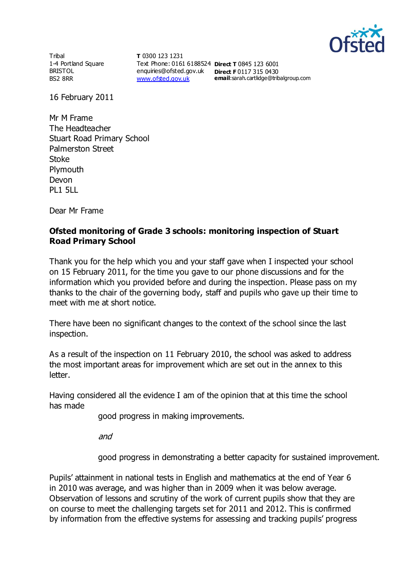

**Tribal** 1-4 Portland Square BRISTOL BS2 8RR

**T** 0300 123 1231 Text Phone: 0161 6188524 **Direct T** 0845 123 6001 enquiries@ofsted.gov.uk **Direct F** 0117 315 0430 [www.ofsted.gov.uk](http://www.ofsted.gov.uk/)

**email**:sarah.cartlidge@tribalgroup.com

16 February 2011

Mr M Frame The Headteacher Stuart Road Primary School Palmerston Street Stoke Plymouth Devon PL1 5LL

Dear Mr Frame

## **Ofsted monitoring of Grade 3 schools: monitoring inspection of Stuart Road Primary School**

Thank you for the help which you and your staff gave when I inspected your school on 15 February 2011, for the time you gave to our phone discussions and for the information which you provided before and during the inspection. Please pass on my thanks to the chair of the governing body, staff and pupils who gave up their time to meet with me at short notice.

There have been no significant changes to the context of the school since the last inspection.

As a result of the inspection on 11 February 2010, the school was asked to address the most important areas for improvement which are set out in the annex to this letter.

Having considered all the evidence I am of the opinion that at this time the school has made

good progress in making improvements.

and

good progress in demonstrating a better capacity for sustained improvement.

Pupils' attainment in national tests in English and mathematics at the end of Year 6 in 2010 was average, and was higher than in 2009 when it was below average. Observation of lessons and scrutiny of the work of current pupils show that they are on course to meet the challenging targets set for 2011 and 2012. This is confirmed by information from the effective systems for assessing and tracking pupils' progress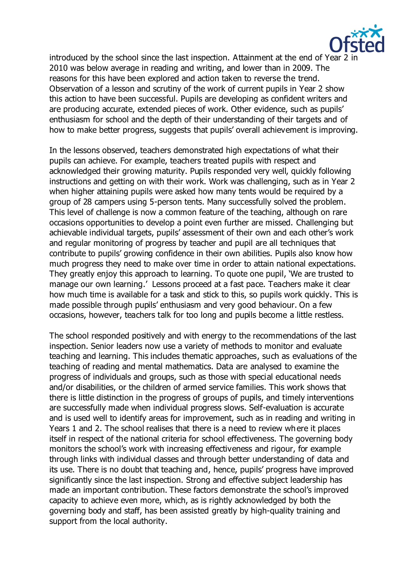

introduced by the school since the last inspection. Attainment at the end of Year 2 in 2010 was below average in reading and writing, and lower than in 2009. The reasons for this have been explored and action taken to reverse the trend. Observation of a lesson and scrutiny of the work of current pupils in Year 2 show this action to have been successful. Pupils are developing as confident writers and are producing accurate, extended pieces of work. Other evidence, such as pupils' enthusiasm for school and the depth of their understanding of their targets and of how to make better progress, suggests that pupils' overall achievement is improving.

In the lessons observed, teachers demonstrated high expectations of what their pupils can achieve. For example, teachers treated pupils with respect and acknowledged their growing maturity. Pupils responded very well, quickly following instructions and getting on with their work. Work was challenging, such as in Year 2 when higher attaining pupils were asked how many tents would be required by a group of 28 campers using 5-person tents. Many successfully solved the problem. This level of challenge is now a common feature of the teaching, although on rare occasions opportunities to develop a point even further are missed. Challenging but achievable individual targets, pupils' assessment of their own and each other's work and regular monitoring of progress by teacher and pupil are all techniques that contribute to pupils' growing confidence in their own abilities. Pupils also know how much progress they need to make over time in order to attain national expectations. They greatly enjoy this approach to learning. To quote one pupil, 'We are trusted to manage our own learning.' Lessons proceed at a fast pace. Teachers make it clear how much time is available for a task and stick to this, so pupils work quickly. This is made possible through pupils' enthusiasm and very good behaviour. On a few occasions, however, teachers talk for too long and pupils become a little restless.

The school responded positively and with energy to the recommendations of the last inspection. Senior leaders now use a variety of methods to monitor and evaluate teaching and learning. This includes thematic approaches, such as evaluations of the teaching of reading and mental mathematics. Data are analysed to examine the progress of individuals and groups, such as those with special educational needs and/or disabilities, or the children of armed service families. This work shows that there is little distinction in the progress of groups of pupils, and timely interventions are successfully made when individual progress slows. Self-evaluation is accurate and is used well to identify areas for improvement, such as in reading and writing in Years 1 and 2. The school realises that there is a need to review where it places itself in respect of the national criteria for school effectiveness. The governing body monitors the school's work with increasing effectiveness and rigour, for example through links with individual classes and through better understanding of data and its use. There is no doubt that teaching and, hence, pupils' progress have improved significantly since the last inspection. Strong and effective subject leadership has made an important contribution. These factors demonstrate the school's improved capacity to achieve even more, which, as is rightly acknowledged by both the governing body and staff, has been assisted greatly by high-quality training and support from the local authority.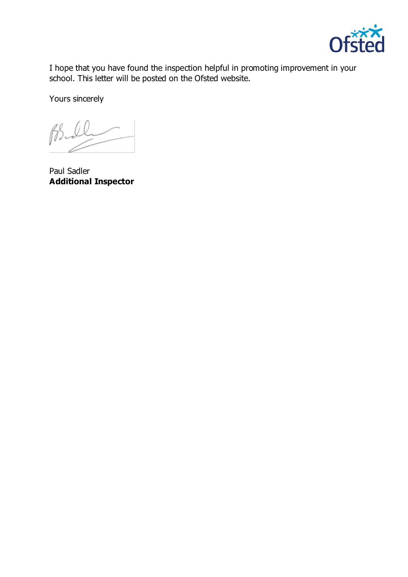

I hope that you have found the inspection helpful in promoting improvement in your school. This letter will be posted on the Ofsted website.

Yours sincerely

 $\beta$ 

Paul Sadler **Additional Inspector**